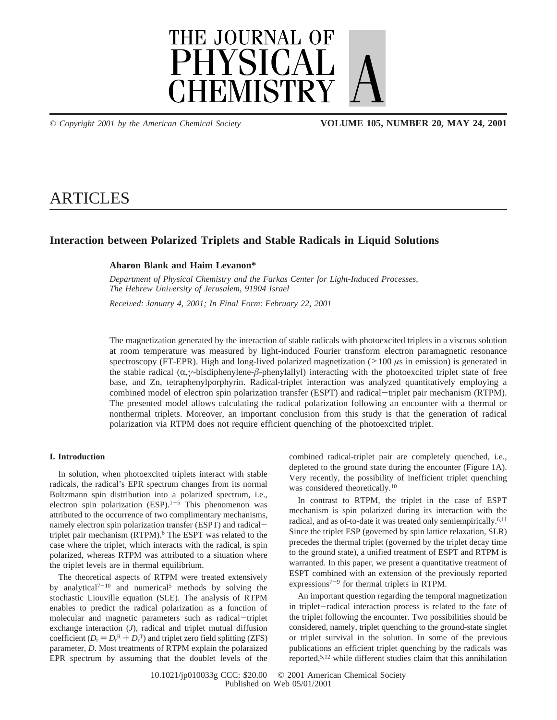

*© Copyright 2001 by the American Chemical Society* **VOLUME 105, NUMBER 20, MAY 24, 2001**

# ARTICLES

# **Interaction between Polarized Triplets and Stable Radicals in Liquid Solutions**

# **Aharon Blank and Haim Levanon\***

*Department of Physical Chemistry and the Farkas Center for Light-Induced Processes, The Hebrew Uni*V*ersity of Jerusalem, 91904 Israel*

*Recei*V*ed: January 4, 2001; In Final Form: February 22, 2001*

The magnetization generated by the interaction of stable radicals with photoexcited triplets in a viscous solution at room temperature was measured by light-induced Fourier transform electron paramagnetic resonance spectroscopy (FT-EPR). High and long-lived polarized magnetization ( $>100 \mu s$  in emission) is generated in the stable radical (R,*γ*-bisdiphenylene-*â*-phenylallyl) interacting with the photoexcited triplet state of free base, and Zn, tetraphenylporphyrin. Radical-triplet interaction was analyzed quantitatively employing a combined model of electron spin polarization transfer (ESPT) and radical-triplet pair mechanism (RTPM). The presented model allows calculating the radical polarization following an encounter with a thermal or nonthermal triplets. Moreover, an important conclusion from this study is that the generation of radical polarization via RTPM does not require efficient quenching of the photoexcited triplet.

## **I. Introduction**

In solution, when photoexcited triplets interact with stable radicals, the radical's EPR spectrum changes from its normal Boltzmann spin distribution into a polarized spectrum, i.e., electron spin polarization  $(ESP).^{1-5}$  This phenomenon was attributed to the occurrence of two complimentary mechanisms, namely electron spin polarization transfer (ESPT) and radicaltriplet pair mechanism (RTPM).<sup>6</sup> The ESPT was related to the case where the triplet, which interacts with the radical, is spin polarized, whereas RTPM was attributed to a situation where the triplet levels are in thermal equilibrium.

The theoretical aspects of RTPM were treated extensively by analytical<sup>7-10</sup> and numerical<sup>5</sup> methods by solving the stochastic Liouville equation (SLE). The analysis of RTPM enables to predict the radical polarization as a function of molecular and magnetic parameters such as radical-triplet exchange interaction (*J*), radical and triplet mutual diffusion coefficient  $(D_r = D_r^R + D_r^T)$  and triplet zero field splitting (ZFS)<br>parameter D. Most treatments of RTPM explain the polaraized parameter, *D*. Most treatments of RTPM explain the polaraized EPR spectrum by assuming that the doublet levels of the combined radical-triplet pair are completely quenched, i.e., depleted to the ground state during the encounter (Figure 1A). Very recently, the possibility of inefficient triplet quenching was considered theoretically.<sup>10</sup>

In contrast to RTPM, the triplet in the case of ESPT mechanism is spin polarized during its interaction with the radical, and as of-to-date it was treated only semiempirically.6,11 Since the triplet ESP (governed by spin lattice relaxation, SLR) precedes the thermal triplet (governed by the triplet decay time to the ground state), a unified treatment of ESPT and RTPM is warranted. In this paper, we present a quantitative treatment of ESPT combined with an extension of the previously reported expressions<sup> $7-9$ </sup> for thermal triplets in RTPM.

An important question regarding the temporal magnetization in triplet-radical interaction process is related to the fate of the triplet following the encounter. Two possibilities should be considered, namely, triplet quenching to the ground-state singlet or triplet survival in the solution. In some of the previous publications an efficient triplet quenching by the radicals was reported,5,12 while different studies claim that this annihilation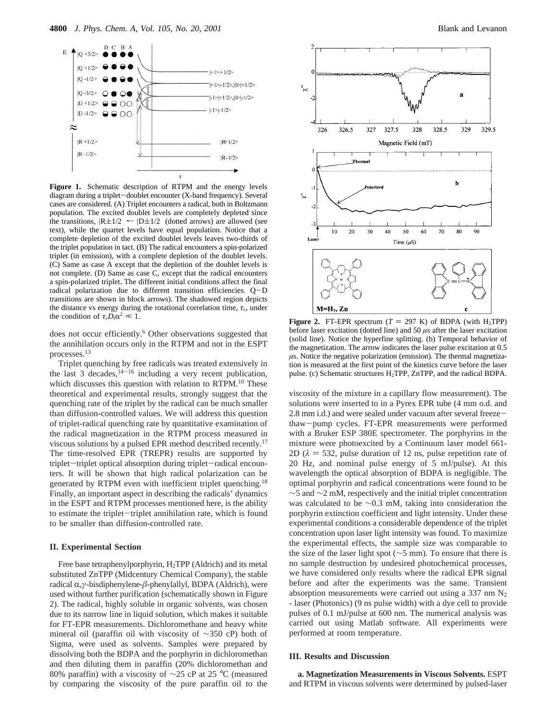

**Figure 1.** Schematic description of RTPM and the energy levels diagram during a triplet-doublet encounter (X-band frequency). Several cases are considered. (A) Triplet encounters a radical, both in Boltzmann population. The excited doublet levels are completely depleted since the transitions,  $|R \pm 1/2\rangle \leftarrow |D \pm 1/2\rangle$  (dotted arrows) are allowed (see text), while the quartet levels have equal population. Notice that a complete depletion of the excited doublet levels leaves two-thirds of the triplet population in tact. (B) The radical encounters a spin-polarized triplet (in emission), with a complete depletion of the doublet levels. (C) Same as case A except that the depletion of the doublet levels is not complete. (D) Same as case C, except that the radical encounters a spin-polarized triplet. The different initial conditions affect the final radical polarization due to different transition efficiencies. Q-<sup>D</sup> transitions are shown in block arrows). The shadowed region depicts the distance vs energy during the rotational correlation time,  $\tau_c$ , under the condition of  $\tau_c D_r \alpha^2 \ll 1$ .

does not occur efficiently.<sup>6</sup> Other observations suggested that the annihilation occurs only in the RTPM and not in the ESPT processes.13

Triplet quenching by free radicals was treated extensively in the last 3 decades,  $14-16$  including a very recent publication, which discusses this question with relation to RTPM.<sup>10</sup> These theoretical and experimental results, strongly suggest that the quenching rate of the triplet by the radical can be much smaller than diffusion-controlled values. We will address this question of triplet-radical quenching rate by quantitative examination of the radical magnetization in the RTPM process measured in viscous solutions by a pulsed EPR method described recently.17 The time-resolved EPR (TREPR) results are supported by triplet-triplet optical absorption during triplet-radical encounters. It will be shown that high radical polarization can be generated by RTPM even with inefficient triplet quenching.18 Finally, an important aspect in describing the radicals' dynamics in the ESPT and RTPM processes mentioned here, is the ability to estimate the triplet-triplet annihilation rate, which is found to be smaller than diffusion-controlled rate.

#### **II. Experimental Section**

Free base tetraphenylporphyrin, H<sub>2</sub>TPP (Aldrich) and its metal substituted ZnTPP (Midcentury Chemical Company), the stable radical R,*γ*-bisdiphenylene-*â*-phenylallyl, BDPA (Aldrich), were used without further purification (schematically shown in Figure 2). The radical, highly soluble in organic solvents, was chosen due to its narrow line in liquid solution, which makes it suitable for FT-EPR measurements. Dichloromethane and heavy white mineral oil (paraffin oil with viscosity of ∼350 cP) both of Sigma, were used as solvents. Samples were prepared by dissolving both the BDPA and the porphyrin in dichloromethan and then diluting them in paraffin (20% dichloromethan and 80% paraffin) with a viscosity of ∼25 cP at 25 °C (measured by comparing the viscosity of the pure paraffin oil to the



**Figure 2.** FT-EPR spectrum  $(T = 297 \text{ K})$  of BDPA (with H<sub>2</sub>TPP) before laser excitation (dotted line) and 50 *µ*s after the laser excitation (solid line). Notice the hyperfine splitting. (b) Temporal behavior of the magnetization. The arrow indicates the laser pulse excitation at 0.5  $\mu$ s. Notice the negative polarization (emission). The thermal magnetization is measured at the first point of the kinetics curve before the laser pulse. (c) Schematic structures H2TPP, ZnTPP, and the radical BDPA.

viscosity of the mixture in a capillary flow measurement). The solutions were inserted to in a Pyrex EPR tube (4 mm o.d. and 2.8 mm i.d.) and were sealed under vacuum after several freezethaw-pump cycles. FT-EPR measurements were performed with a Bruker ESP 380E spectrometer. The porphyrins in the mixture were photoexcited by a Continuum laser model 661- 2D ( $\lambda$  = 532, pulse duration of 12 ns, pulse repetition rate of 20 Hz, and nominal pulse energy of 5 mJ/pulse). At this wavelength the optical absorption of BDPA is negligible. The optimal porphyrin and radical concentrations were found to be ∼5 and ∼2 mM, respectively and the initial triplet concentration was calculated to be ∼0.3 mM, taking into consideration the porphyrin extinction coefficient and light intensity. Under these experimental conditions a considerable dependence of the triplet concentration upon laser light intensity was found. To maximize the experimental effects, the sample size was comparable to the size of the laser light spot (∼5 mm). To ensure that there is no sample destruction by undesired photochemical processes, we have considered only results where the radical EPR signal before and after the experiments was the same. Transient absorption measurements were carried out using a 337 nm  $N_2$ - laser (Photonics) (9 ns pulse width) with a dye cell to provide pulses of 0.1 mJ/pulse at 600 nm. The numerical analysis was carried out using Matlab software. All experiments were performed at room temperature.

#### **III. Results and Discussion**

**a. Magnetization Measurements in Viscous Solvents.** ESPT and RTPM in viscous solvents were determined by pulsed-laser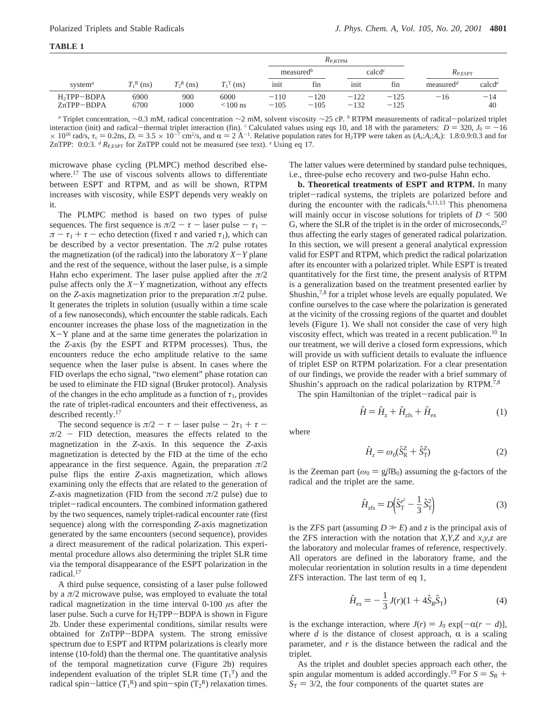| FA BL |  |
|-------|--|
|       |  |

|                                         |              |              |                       |                  | $R_{\rm P, RTPM}$       |                               |                    |                                    |                    |
|-----------------------------------------|--------------|--------------|-----------------------|------------------|-------------------------|-------------------------------|--------------------|------------------------------------|--------------------|
|                                         |              |              |                       |                  | $measured$ <sup>b</sup> |                               | calcd <sup>c</sup> | $R_{\text{P. ESPT}}$               |                    |
| system $a$                              | $T_1^R$ (ns) | $T_2^R$ (ns) | $T_{\cdot}$ T<br>(ns) | init             | fın                     | <sub>1</sub> n <sub>1</sub> t | fin                | measured <sup><math>d</math></sup> | calcd <sup>e</sup> |
| H <sub>2</sub> TPP-BDPA<br>$ZnTPP-BDPA$ | 6900<br>6700 | 900<br>1000  | 6000<br>$\leq 100$ ns | $-110$<br>$-105$ | $-120$<br>$-105$        | $-122$<br>$-132$              | $-125$<br>$-125$   | $-16$                              | $-14$<br>40        |

*a* Triplet concentration, ∼0.3 mM, radical concentration ∼2 mM, solvent viscosity ∼25 cP. *b* RTPM measurements of radical-polarized triplet exercion (fin) <sup>c</sup> Calculated values using eqs. 10, and 18 with the parameters interaction (init) and radical-thermal triplet interaction (fin). *c* Calculated values using eqs 10, and 18 with the parameters:  $D = 320$ ,  $J_0 = -16$  $\times$  10<sup>10</sup> rad/s,  $\tau_c$  = 0.2ns,  $D_r$  = 3.5  $\times$  10<sup>-7</sup> cm<sup>2</sup>/s, and  $\alpha$  = 2 Å<sup>-1</sup>. Relative population rates for H<sub>2</sub>TPP were taken as (*A<sub>x</sub>*:*A<sub>y</sub>*:*A<sub>z</sub>*): 1.8:0.9:0.3 and for <br>ZnTPP: 0:0:3 <sup>d</sup> R<sub>P</sub> repr for ZnTPP ZnTPP: 0:0:3.  $dR_{P,ESPT}$  for ZnTPP could not be measured (see text).  $e$  Using eq 17.

microwave phase cycling (PLMPC) method described elsewhere.<sup>17</sup> The use of viscous solvents allows to differentiate between ESPT and RTPM, and as will be shown, RTPM increases with viscosity, while ESPT depends very weakly on it.

The PLMPC method is based on two types of pulse sequences. The first sequence is  $\pi/2 - \tau$  - laser pulse -  $\tau_1$  - $\pi - \tau_1 + \tau$  – echo detection (fixed  $\tau$  and varied  $\tau_1$ ), which can be described by a vector presentation. The  $\pi/2$  pulse rotates the magnetization (of the radical) into the laboratory  $X - Y$  plane and the rest of the sequence, without the laser pulse, is a simple Hahn echo experiment. The laser pulse applied after the  $\pi/2$ pulse affects only the *<sup>X</sup>*-*<sup>Y</sup>* magnetization, without any effects on the *Z*-axis magnetization prior to the preparation  $\pi/2$  pulse. It generates the triplets in solution (usually within a time scale of a few nanoseconds), which encounter the stable radicals. Each encounter increases the phase loss of the magnetization in the  $X-Y$  plane and at the same time generates the polarization in the *Z*-axis (by the ESPT and RTPM processes). Thus, the encounters reduce the echo amplitude relative to the same sequence when the laser pulse is absent. In cases where the FID overlaps the echo signal, "two element" phase rotation can be used to eliminate the FID signal (Bruker protocol). Analysis of the changes in the echo amplitude as a function of  $\tau_1$ , provides the rate of triplet-radical encounters and their effectiveness, as described recently.17

The second sequence is  $\pi/2 - \tau$  - laser pulse  $-2\tau_1 + \tau$  $\pi/2$  - FID detection, measures the effects related to the magnetization in the *Z*-axis. In this sequence the *Z*-axis magnetization is detected by the FID at the time of the echo appearance in the first sequence. Again, the preparation *π*/2 pulse flips the entire *Z*-axis magnetization, which allows examining only the effects that are related to the generation of *Z*-axis magnetization (FID from the second *π*/2 pulse) due to triplet-radical encounters. The combined information gathered by the two sequences, namely triplet-radical encounter rate (first sequence) along with the corresponding *Z*-axis magnetization generated by the same encounters (second sequence), provides a direct measurement of the radical polarization. This experimental procedure allows also determining the triplet SLR time via the temporal disappearance of the ESPT polarization in the radical.17

A third pulse sequence, consisting of a laser pulse followed by a *π*/2 microwave pulse, was employed to evaluate the total radical magnetization in the time interval 0-100 *µ*s after the laser pulse. Such a curve for H<sub>2</sub>TPP-BDPA is shown in Figure 2b. Under these experimental conditions, similar results were obtained for ZnTPP-BDPA system. The strong emissive spectrum due to ESPT and RTPM polarizations is clearly more intense (10-fold) than the thermal one. The quantitative analysis of the temporal magnetization curve (Figure 2b) requires independent evaluation of the triplet SLR time  $(T_1^T)$  and the radical spin-lattice  $(T_1^R)$  and spin-spin  $(T_2^R)$  relaxation times.

The latter values were determined by standard pulse techniques, i.e., three-pulse echo recovery and two-pulse Hahn echo.

**b. Theoretical treatments of ESPT and RTPM.** In many triplet-radical systems, the triplets are polarized before and during the encounter with the radicals.<sup>6,11,13</sup> This phenomena will mainly occur in viscose solutions for triplets of  $D \le 500$ G, where the SLR of the triplet is in the order of microseconds, $27$ thus affecting the early stages of generated radical polarization. In this section, we will present a general analytical expression valid for ESPT and RTPM, which predict the radical polarization after its encounter with a polarized triplet. While ESPT is treated quantitatively for the first time, the present analysis of RTPM is a generalization based on the treatment presented earlier by Shushin,<sup>7,8</sup> for a triplet whose levels are equally populated. We confine ourselves to the case where the polarization is generated at the vicinity of the crossing regions of the quartet and doublet levels (Figure 1). We shall not consider the case of very high viscosity effect, which was treated in a recent publication.10 In our treatment, we will derive a closed form expressions, which will provide us with sufficient details to evaluate the influence of triplet ESP on RTPM polarization. For a clear presentation of our findings, we provide the reader with a brief summary of Shushin's approach on the radical polarization by RTPM.7,8

The spin Hamiltonian of the triplet-radical pair is

$$
\hat{H} = \hat{H}_{z} + \hat{H}_{zfs} + \hat{H}_{ex} \tag{1}
$$

where

$$
\hat{H}_z = \omega_0 (\hat{S}_R^Z + \hat{S}_T^Z) \tag{2}
$$

is the Zeeman part ( $\omega_0 = g\beta B_0$ ) assuming the g-factors of the radical and the triplet are the same.

$$
\hat{H}_{\text{zfs}} = D \left( \hat{S}_{\text{T}}^{c^2} - \frac{1}{3} \hat{S}_{\text{T}}^2 \right) \tag{3}
$$

is the ZFS part (assuming  $D \gg E$ ) and *z* is the principal axis of the ZFS interaction with the notation that *X*,*Y*,*Z* and *x*,*y*,*z* are the laboratory and molecular frames of reference, respectively. All operators are defined in the laboratory frame, and the molecular reorientation in solution results in a time dependent ZFS interaction. The last term of eq 1,

$$
\hat{H}_{\rm ex} = -\frac{1}{3}J(r)(1+4\hat{S}_R\hat{S}_T)
$$
\n(4)

is the exchange interaction, where  $J(r) = J_0 \exp[-\alpha(r - d)]$ , where  $d$  is the distance of closest approach,  $\alpha$  is a scaling parameter, and *r* is the distance between the radical and the triplet.

As the triplet and doublet species approach each other, the spin angular momentum is added accordingly.<sup>19</sup> For  $S = S_R$  +  $S_T = 3/2$ , the four components of the quartet states are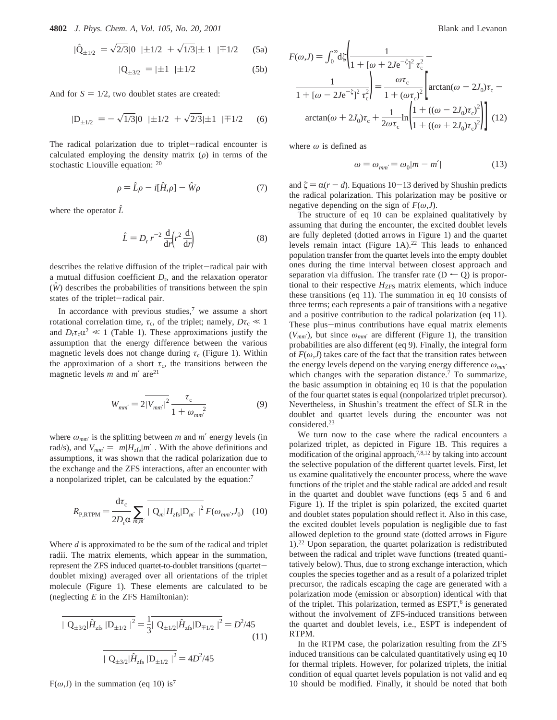**4802** *J. Phys. Chem. A, Vol. 105, No. 20, 2001* Blank and Levanon

$$
|\hat{Q}_{\pm 1/2}\rangle = \sqrt{2/3}|0\rangle \, |\pm 1/2\rangle + \sqrt{1/3} |\pm 1\rangle \, |\mp 1/2\rangle \quad (5a)
$$

$$
|Q_{\pm 3/2}\rangle = |\pm 1\rangle |\pm 1/2\rangle \tag{5b}
$$

And for  $S = 1/2$ , two doublet states are created:

$$
|\mathcal{D}_{\pm 1/2}\rangle = -\sqrt{1/3}|0\rangle \, |\pm 1/2\rangle + \sqrt{2/3} |\pm 1\rangle \, |\mp 1/2\rangle \quad (6)
$$

The radical polarization due to triplet-radical encounter is calculated employing the density matrix  $(\rho)$  in terms of the stochastic Liouville equation: <sup>20</sup>

$$
\rho = \hat{L}\rho - i[\hat{H}, \rho] - \hat{W}\rho \tag{7}
$$

where the operator  $\hat{L}$ 

$$
\hat{L} = D_{\rm r} r^{-2} \frac{\mathrm{d}}{\mathrm{d}r} \left( r^2 \frac{\mathrm{d}}{\mathrm{d}r} \right) \tag{8}
$$

describes the relative diffusion of the triplet-radical pair with a mutual diffusion coefficient  $D_r$ , and the relaxation operator  $(W)$  describes the probabilities of transitions between the spin states of the triplet-radical pair.

In accordance with previous studies, $\bar{y}$  we assume a short rotational correlation time,  $\tau_c$ , of the triplet; namely,  $D\tau_c \ll 1$ and  $D_r \tau_c \alpha^2 \ll 1$  (Table 1). These approximations justify the assumption that the energy difference between the various magnetic levels does not change during  $\tau_c$  (Figure 1). Within the approximation of a short  $\tau_c$ , the transitions between the magnetic levels *m* and *m*′ are21

$$
W_{mm'} = 2|\overline{V_{mm'}}|^2 \frac{\tau_c}{1 + \omega_{mm'}} \tag{9}
$$

where  $\omega_{mm'}$  is the splitting between *m* and *m'* energy levels (in rad/s), and  $V_{mm'} = \langle m | H_{zfs} | m' \rangle$ . With the above definitions and assumptions, it was shown that the radical polarization due to the exchange and the ZFS interactions, after an encounter with a nonpolarized triplet, can be calculated by the equation:7

$$
R_{\text{P,RTPM}} = \frac{\mathrm{d}\tau_{\text{c}}}{2D_{\text{r}}\alpha} \sum_{m,m'} \overline{\left| \langle \mathbf{Q}_{m} | H_{\text{zfs}} | \mathbf{D}_{m'} \rangle \right|^{2}} F(\omega_{mm'} J_{0}) \quad (10)
$$

Where *d* is approximated to be the sum of the radical and triplet radii. The matrix elements, which appear in the summation, represent the ZFS induced quartet-to-doublet transitions (quartetdoublet mixing) averaged over all orientations of the triplet molecule (Figure 1). These elements are calculated to be (neglecting *E* in the ZFS Hamiltonian):

$$
\overline{|\langle Q_{\pm 3/2}|\hat{H}_{zfs}|D_{\pm 1/2}\rangle|^2} = \frac{1}{3} |\langle Q_{\pm 1/2}|\hat{H}_{zfs}|D_{\mp 1/2}\rangle|^2 = D^2/45
$$
\n(11)\n
$$
\overline{|\langle Q_{\pm 3/2}|\hat{H}_{zfs}|D_{\pm 1/2}\rangle|^2} = 4D^2/45
$$

 $F(\omega, J)$  in the summation (eq 10) is<sup>7</sup>

$$
F(\omega, J) = \int_0^\infty d\xi \left( \frac{1}{1 + [\omega + 2J e^{-\xi}]^2 \tau_c^2} - \frac{1}{1 + [\omega - 2J e^{-\xi}]^2 \tau_c^2} \right) = \frac{\omega \tau_c}{1 + (\omega \tau_c)^2} \left[ \arctan(\omega - 2J_0) \tau_c - \arctan(\omega + 2J_0) \tau_c + \frac{1}{2\omega \tau_c} \ln \left( \frac{1 + ((\omega - 2J_0) \tau_c)^2}{1 + ((\omega + 2J_0) \tau_c)^2} \right) \right] (12)
$$

where *ω* is defined as

$$
\omega = \omega_{mm'} = \omega_0 |m - m'| \tag{13}
$$

and  $\zeta = \alpha(r - d)$ . Equations 10-13 derived by Shushin predicts the radical polarization. This polarization may be positive or negative depending on the sign of  $F(\omega, J)$ .

The structure of eq 10 can be explained qualitatively by assuming that during the encounter, the excited doublet levels are fully depleted (dotted arrows in Figure 1) and the quartet levels remain intact (Figure 1A).<sup>22</sup> This leads to enhanced population transfer from the quartet levels into the empty doublet ones during the time interval between closest approach and separation via diffusion. The transfer rate  $(D - Q)$  is proportional to their respective  $H<sub>ZFS</sub>$  matrix elements, which induce these transitions (eq 11). The summation in eq 10 consists of three terms; each represents a pair of transitions with a negative and a positive contribution to the radical polarization (eq 11). These plus-minus contributions have equal matrix elements  $(V_{mm})$ , but since  $\omega_{mm'}$  are different (Figure 1), the transition probabilities are also different (eq 9). Finally, the integral form of  $F(\omega, J)$  takes care of the fact that the transition rates between the energy levels depend on the varying energy difference *ωmm*′ which changes with the separation distance.<sup>7</sup> To summarize, the basic assumption in obtaining eq 10 is that the population of the four quartet states is equal (nonpolarized triplet precursor). Nevertheless, in Shushin's treatment the effect of SLR in the doublet and quartet levels during the encounter was not considered.23

We turn now to the case where the radical encounters a polarized triplet, as depicted in Figure 1B. This requires a modification of the original approach,7,8,12 by taking into account the selective population of the different quartet levels. First, let us examine qualitatively the encounter process, where the wave functions of the triplet and the stable radical are added and result in the quartet and doublet wave functions (eqs 5 and 6 and Figure 1). If the triplet is spin polarized, the excited quartet and doublet states population should reflect it. Also in this case, the excited doublet levels population is negligible due to fast allowed depletion to the ground state (dotted arrows in Figure 1).22 Upon separation, the quartet polarization is redistributed between the radical and triplet wave functions (treated quantitatively below). Thus, due to strong exchange interaction, which couples the species together and as a result of a polarized triplet precursor, the radicals escaping the cage are generated with a polarization mode (emission or absorption) identical with that of the triplet. This polarization, termed as ESPT,<sup>6</sup> is generated without the involvement of ZFS-induced transitions between the quartet and doublet levels, i.e., ESPT is independent of RTPM.

In the RTPM case, the polarization resulting from the ZFS induced transitions can be calculated quantitatively using eq 10 for thermal triplets. However, for polarized triplets, the initial condition of equal quartet levels population is not valid and eq 10 should be modified. Finally, it should be noted that both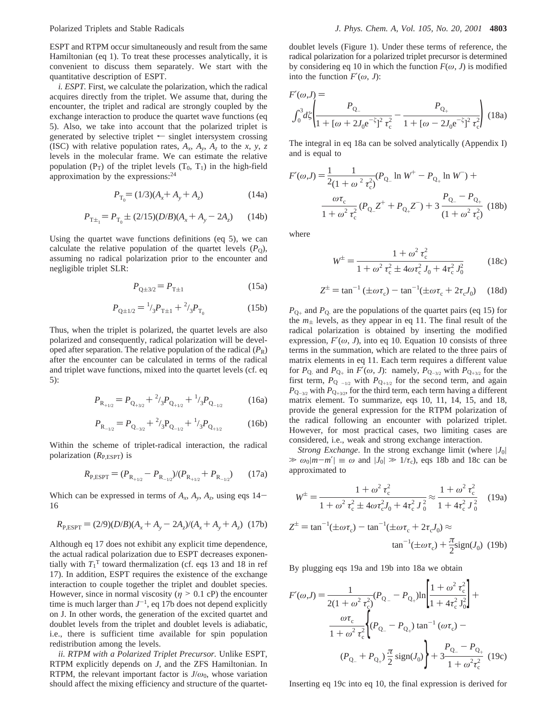ESPT and RTPM occur simultaneously and result from the same Hamiltonian (eq 1). To treat these processes analytically, it is convenient to discuss them separately. We start with the quantitative description of ESPT.

*i. ESPT.* First, we calculate the polarization, which the radical acquires directly from the triplet. We assume that, during the encounter, the triplet and radical are strongly coupled by the exchange interaction to produce the quartet wave functions (eq 5). Also, we take into account that the polarized triplet is generated by selective triplet  $\leftarrow$  singlet intersystem crossing (ISC) with relative population rates,  $A_x$ ,  $A_y$ ,  $A_z$  to the *x*, *y*, *z* levels in the molecular frame. We can estimate the relative population ( $P_T$ ) of the triplet levels ( $T_0$ ,  $T_1$ ) in the high-field approximation by the expressions:24

$$
P_{\text{T}_0} = (1/3)(A_x + A_y + A_z) \tag{14a}
$$

$$
P_{\text{T} \pm_1} = P_{\text{T}_0} \pm (2/15)(D/B)(A_x + A_y - 2A_z) \tag{14b}
$$

Using the quartet wave functions definitions (eq 5), we can calculate the relative population of the quartet levels  $(P<sub>O</sub>)$ , assuming no radical polarization prior to the encounter and negligible triplet SLR:

$$
P_{Q \pm 3/2} = P_{T \pm 1} \tag{15a}
$$

$$
P_{Q \pm 1/2} = {}^{1}_{3}P_{T \pm 1} + {}^{2}_{3}P_{T_{0}}
$$
 (15b)

Thus, when the triplet is polarized, the quartet levels are also polarized and consequently, radical polarization will be developed after separation. The relative population of the radical  $(P_R)$ after the encounter can be calculated in terms of the radical and triplet wave functions, mixed into the quartet levels (cf. eq 5):

$$
P_{\mathcal{R}_{+1/2}} = P_{\mathcal{Q}_{+3/2}} + \frac{2}{3} P_{\mathcal{Q}_{+1/2}} + \frac{1}{3} P_{\mathcal{Q}_{-1/2}}
$$
(16a)

$$
P_{\mathcal{R}_{-1/2}} = P_{\mathcal{Q}_{-3/2}} + \frac{2}{3} P_{\mathcal{Q}_{-1/2}} + \frac{1}{3} P_{\mathcal{Q}_{+1/2}}
$$
(16b)

Within the scheme of triplet-radical interaction, the radical polarization (*R*P,ESPT) is

$$
R_{\rm P, ESPT} = (P_{\rm R_{+1/2}} - P_{\rm R_{-1/2}}) / (P_{\rm R_{+1/2}} + P_{\rm R_{-1/2}}) \tag{17a}
$$

Which can be expressed in terms of  $A_x$ ,  $A_y$ ,  $A_z$ , using eqs 14– 16

$$
R_{\text{P,ESPT}} = (2/9)(D/B)(A_x + A_y - 2A_z)/(A_x + A_y + A_z)
$$
 (17b)

Although eq 17 does not exhibit any explicit time dependence, the actual radical polarization due to ESPT decreases exponentially with  $T_1^T$  toward thermalization (cf. eqs 13 and 18 in ref 17). In addition, ESPT requires the existence of the exchange interaction to couple together the triplet and doublet species. However, since in normal viscosity ( $\eta$  > 0.1 cP) the encounter time is much larger than  $J^{-1}$ , eq 17b does not depend explicitly on J. In other words, the generation of the excited quartet and doublet levels from the triplet and doublet levels is adiabatic, i.e., there is sufficient time available for spin population redistribution among the levels.

*ii. RTPM with a Polarized Triplet Precursor.* Unlike ESPT, RTPM explicitly depends on *J*, and the ZFS Hamiltonian. In RTPM, the relevant important factor is  $J/\omega_0$ , whose variation should affect the mixing efficiency and structure of the quartet-

doublet levels (Figure 1). Under these terms of reference, the radical polarization for a polarized triplet precursor is determined by considering eq 10 in which the function  $F(\omega, J)$  is modified into the function  $F'(\omega, J)$ :

$$
F'(\omega, J) =
$$
  

$$
\int_0^3 d\zeta \left( \frac{P_{Q_-}}{1 + [\omega + 2J_0 e^{-\zeta}]^2 \tau_c^2} - \frac{P_{Q_+}}{1 + [\omega - 2J_0 e^{-\zeta}]^2 \tau_c^2} \right)
$$
(18a)

The integral in eq 18a can be solved analytically (Appendix I) and is equal to

$$
F'(\omega, J) = \frac{1}{2(1 + \omega^2 \tau_c^2)} (P_{Q_{-}} \ln W^+ - P_{Q_{+}} \ln W^-) +
$$

$$
\frac{\omega \tau_c}{1 + \omega^2 \tau_c^2} (P_{Q_{-}} Z^+ + P_{Q_{+}} Z^-) + 3 \frac{P_{Q_{-}} - P_{Q_{+}}}{(1 + \omega^2 \tau_c^2)} (18b)
$$

where

$$
W^{\pm} = \frac{1 + \omega^2 \tau_c^2}{1 + \omega^2 \tau_c^2 \pm 4\omega \tau_c^2 J_0 + 4\tau_c^2 J_0^2}
$$
 (18c)

$$
Z^{\pm} = \tan^{-1} (\pm \omega \tau_c) - \tan^{-1} (\pm \omega \tau_c + 2\tau_c J_0)
$$
 (18d)

 $P_{Q_{+}}$  and  $P_{Q_{-}}$  are the populations of the quartet pairs (eq 15) for the  $m_{\pm}$  levels, as they appear in eq 11. The final result of the radical polarization is obtained by inserting the modified expression,  $F'(\omega, J)$ , into eq 10. Equation 10 consists of three terms in the summation, which are related to the three pairs of matrix elements in eq 11. Each term requires a different value for  $P_{Q_+}$  and  $P_{Q_+}$  in  $F'(\omega, J)$ : namely,  $P_{Q_{-3/2}}$  with  $P_{Q_{+3/2}}$  for the first term,  $P_{Q_{-1/2}}$  with  $P_{Q_{+1/2}}$  for the second term, and again  $P_{Q_{-3/2}}$  with  $P_{Q_{+3/2}}$ , for the third term, each term having a different matrix element. To summarize, eqs 10, 11, 14, 15, and 18, provide the general expression for the RTPM polarization of the radical following an encounter with polarized triplet. However, for most practical cases, two limiting cases are considered, i.e., weak and strong exchange interaction.

*Strong Exchange*. In the strong exchange limit (where  $|J_0|$ )  $\gg \omega_0 |m - m'| \equiv \omega$  and  $|J_0| \gg 1/\tau_c$ , eqs 18b and 18c can be approximated to

$$
W^{\pm} = \frac{1 + \omega^2 \tau_c^2}{1 + \omega^2 \tau_c^2 \pm 4\omega \tau_c^2 J_0 + 4\tau_c^2 J_0^2} \approx \frac{1 + \omega^2 \tau_c^2}{1 + 4\tau_c^2 J_0^2} \quad (19a)
$$
  

$$
Z^{\pm} = \tan^{-1}(\pm \omega \tau_c) - \tan^{-1}(\pm \omega \tau_c + 2\tau_c J_0) \approx \tan^{-1}(\pm \omega \tau_c) + \frac{\pi}{2} sign(J_0) \quad (19b)
$$

By plugging eqs 19a and 19b into 18a we obtain

$$
F'(\omega, J) = \frac{1}{2(1 + \omega^2 \tau_c^2)} (P_{Q_-} - P_{Q_+}) \ln \left[ \frac{1 + \omega^2 \tau_c^2}{1 + 4\tau_c^2 J_0^2} \right] +
$$

$$
\frac{\omega \tau_c}{1 + \omega^2 \tau_c^2} \left\{ (P_{Q_-} - P_{Q_+}) \tan^{-1} (\omega \tau_c) -
$$

$$
(P_{Q_-} + P_{Q_+}) \frac{\pi}{2} \text{sign}(J_0) \right\} + \frac{P_{Q_-} - P_{Q_+}}{1 + \omega^2 \tau_c^2} (19c)
$$

Inserting eq 19c into eq 10, the final expression is derived for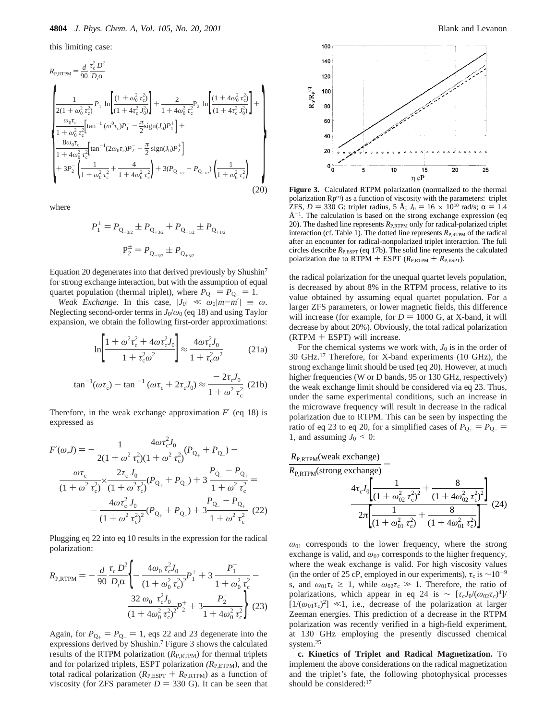this limiting case:

$$
R_{\text{P,RTPM}} = \frac{d}{90} \frac{\tau_c^2 D^2}{D_r \alpha}
$$
\n
$$
\left\{ \frac{1}{2(1 + \omega_0^2 \tau_c^2)} P_1^{-} \ln \left[ \frac{(1 + \omega_0^2 \tau_c^2)}{(1 + 4\tau_c^2 \tau_0^2)} \right] + \frac{2}{1 + 4\omega_0^2 \tau_c^2} P_2^{-} \ln \left[ \frac{(1 + 4\omega_0^2 \tau_c^2)}{(1 + 4\tau_c^2 \tau_0^2)} \right] + \frac{\omega_0 \tau_c}{1 + \omega_0^2 \tau_c^2} \left[ \tan^{-1} (\omega^0 \tau_c) P_1^{-} - \frac{\pi}{2} \text{sign}(J_0) P_1^{+} \right] + \frac{8\omega_0 \tau_c}{1 + 4\omega_0^2 \tau_c^2} \left[ \tan^{-1} (2\omega_0 \tau_c) P_2^{-} - \frac{\pi}{2} \text{sign}(J_0) P_2^{+} \right] + 3P_2^{-} \left( \frac{1}{1 + \omega_0^2 \tau_c^2} + \frac{4}{1 + 4\omega_0^2 \tau_c^2} \right) + 3(P_{Q_{-1/2}} - P_{Q_{+1/2}}) \left( \frac{1}{1 + \omega_0^2 \tau_c^2} \right) \tag{20}
$$

where

$$
P_1^{\pm} = P_{Q_{-3/2}} \pm P_{Q_{+3/2}} + P_{Q_{-1/2}} \pm P_{Q_{+1/2}}
$$

$$
P_2^{\pm} = P_{Q_{-3/2}} \pm P_{Q_{+3/2}}
$$

Equation 20 degenerates into that derived previously by Shushin7 for strong exchange interaction, but with the assumption of equal quartet population (thermal triplet), where  $P_{Q_+} = P_{Q_-} = 1$ .

*Weak Exchange.* In this case,  $|J_0| \ll \omega_0 |m-m'| \equiv \omega$ . Neglecting second-order terms in  $J_0/\omega_0$  (eq 18) and using Taylor expansion, we obtain the following first-order approximations:

$$
\ln\left[\frac{1+\omega^2\tau_c^2+4\omega\tau_c^2J_0}{1+\tau_c^2\omega^2}\right] \approx \frac{4\omega\tau_c^2J_0}{1+\tau_c^2\omega^2}
$$
 (21a)

$$
\tan^{-1}(\omega \tau_c) - \tan^{-1}(\omega \tau_c + 2\tau_c J_0) \approx \frac{-2\tau_c J_0}{1 + \omega^2 \tau_c^2}
$$
 (21b)

Therefore, in the weak exchange approximation  $F'$  (eq 18) is expressed as

$$
F'(\omega, J) = -\frac{1}{2(1 + \omega^2 \tau_c^2)(1 + \omega^2 \tau_c^2)} \left(P_{Q_+} + P_{Q_-}\right) - \frac{\omega \tau_c}{(1 + \omega^2 \tau_c^2)} \left(\frac{2\tau_c J_0}{1 + \omega^2 \tau_c^2}\right) \left(P_{Q_+} + P_{Q_-}\right) + 3\frac{P_{Q_-} - P_{Q_+}}{1 + \omega^2 \tau_c^2} = -\frac{4\omega \tau_c^2 J_0}{(1 + \omega^2 \tau_c^2)^2} \left(P_{Q_+} + P_{Q_-}\right) + 3\frac{P_{Q_-} - P_{Q_+}}{1 + \omega^2 \tau_c^2} \tag{22}
$$

Plugging eq 22 into eq 10 results in the expression for the radical polarization:

$$
R_{\text{P,RTPM}} = -\frac{d}{90} \frac{\tau_c D^2}{D_r \alpha} \left\{ -\frac{4\omega_0 \tau_c^2 J_0}{\left(1 + \omega_0^2 \tau_c^2\right)^2} P_1^+ + 3 \frac{P_1^-}{1 + \omega_0^2 \tau_c^2} - \frac{32 \omega_0 \tau_c^2 J_0}{\left(1 + 4\omega_0^2 \tau_c^2\right)^2} P_2^+ + 3 \frac{P_2^-}{1 + 4\omega_0^2 \tau_c^2} \right\} (23)
$$

Again, for  $P_{Q_+} = P_{Q_-} = 1$ , eqs 22 and 23 degenerate into the expressions derived by Shushin.7 Figure 3 shows the calculated results of the RTPM polarization ( $R_{P,RTPM}$ ) for thermal triplets and for polarized triplets, ESPT polarization (R<sub>P,ETPM</sub>), and the total radical polarization ( $R_{P,ESPT}$  +  $R_{P,RTPM}$ ) as a function of viscosity (for ZFS parameter  $D = 330$  G). It can be seen that



**Figure 3.** Calculated RTPM polarization (normalized to the thermal polarization Rpeq) as a function of viscosity with the parameters: triplet ZFS, *D* = 330 G; triplet radius, 5 Å;  $J_0 = 16 \times 10^{10}$  rad/s;  $\alpha = 1.4$  $\AA^{-1}$ . The calculation is based on the strong exchange expression (eq 20). The dashed line represents  $R_{P,RTPM}$  only for radical-polarized triplet interaction (cf. Table 1). The dotted line represents  $R_{\text{P,RTPM}}$  of the radical after an encounter for radical-nonpolarized triplet interaction. The full circles describe  $R_{P,ESPT}$  (eq 17b). The solid line represents the calculated polarization due to RTPM + ESPT  $(R_{P,RTPM} + R_{P,ESTT})$ .

the radical polarization for the unequal quartet levels population, is decreased by about 8% in the RTPM process, relative to its value obtained by assuming equal quartet population. For a larger ZFS parameters, or lower magnetic fields, this difference will increase (for example, for  $D = 1000$  G, at X-band, it will decrease by about 20%). Obviously, the total radical polarization (RTPM + ESPT) will increase.

For the chemical systems we work with,  $J_0$  is in the order of 30 GHz.17 Therefore, for X-band experiments (10 GHz), the strong exchange limit should be used (eq 20). However, at much higher frequencies (W or D bands, 95 or 130 GHz, respectively) the weak exchange limit should be considered via eq 23. Thus, under the same experimental conditions, such an increase in the microwave frequency will result in decrease in the radical polarization due to RTPM. This can be seen by inspecting the ratio of eq 23 to eq 20, for a simplified cases of  $P_{Q_+} = P_{Q_-}$ 1, and assuming  $J_0 \leq 0$ :

$$
R_{\rm P, RTPM}
$$
 (weak exchange)

 $R_{\text{P,RTPM}}(\text{strong exchange})$ 

$$
\frac{4\tau_c J_0 \left[ \frac{1}{\left(1 + \omega_{02}^2 \tau_c^2\right)^2} + \frac{8}{\left(1 + 4\omega_{02}^2 \tau_c^2\right)^2} \right]}{2\pi \left[ \frac{1}{\left(1 + \omega_{01}^2 \tau_c^2\right)} + \frac{8}{\left(1 + 4\omega_{01}^2 \tau_c^2\right)} \right]} (24)
$$

 $\omega_{01}$  corresponds to the lower frequency, where the strong exchange is valid, and  $\omega_{02}$  corresponds to the higher frequency, where the weak exchange is valid. For high viscosity values (in the order of 25 cP, employed in our experiments),  $\tau_c$  is  $\sim$ 10<sup>-9</sup> s, and  $\omega_{01}\tau_c \geq 1$ , while  $\omega_{02}\tau_c \gg 1$ . Therefore, the ratio of polarizations, which appear in eq 24 is ~  $[\tau_c J_0/(\omega_{02} \tau_c)^4]$  $[1/(\omega_{01}\tau_{c})^2] \ll 1$ , i.e., decrease of the polarization at larger Zeeman energies. This prediction of a decrease in the RTPM polarization was recently verified in a high-field experiment, at 130 GHz employing the presently discussed chemical system.<sup>25</sup>

**c. Kinetics of Triplet and Radical Magnetization.** To implement the above considerations on the radical magnetization and the triplet*'*s fate, the following photophysical processes should be considered:<sup>17</sup>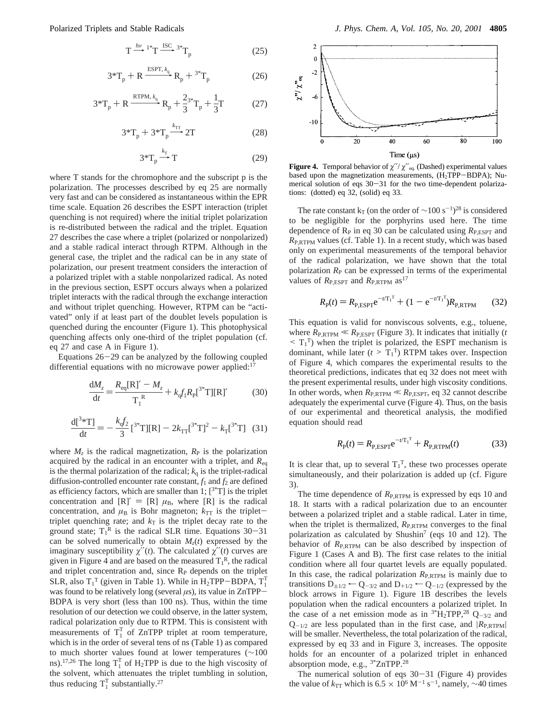$$
T \xrightarrow{hv} {}^{1*}T \xrightarrow{ISC} {}^{3*}T_p
$$
 (25)  
+ R 
$$
\xrightarrow{ESPT, k_q} R_+ {}^{3*}T_2
$$
 (26)

$$
3^{\ast}T_{p} + R \xrightarrow{\text{ESPT}, k_{q}} R_{p} + {}^{3^{\ast}}T_{p}
$$
 (26)

$$
3^{*}T_{p} + R \xrightarrow{\text{ESPT}, k_{q}} R_{p} + 3^{*}T_{p}
$$
 (26)  

$$
3^{*}T_{p} + R \xrightarrow{\text{RTPM}, k_{q}} R_{p} + \frac{2}{3}^{*}T_{p} + \frac{1}{3}T
$$
 (27)  

$$
3^{*}T_{p} + 3^{*}T_{p} \xrightarrow{k_{TT}} 2T
$$
 (28)  

$$
3^{*}T \xrightarrow{k_{T}} T
$$
 (29)

$$
3^{*}T_{p} + 3^{*}T_{p} \xrightarrow{k_{TT}} 2T
$$
 (28)  

$$
3^{*}T \xrightarrow{k_{T}} T
$$
 (29)

$$
3^{*}T_{p} \stackrel{k_{T}}{\longrightarrow} T
$$
 (29)  
where T stands for the chromophore and the subscript p is the

polarization. The processes described by eq 25 are normally very fast and can be considered as instantaneous within the EPR time scale. Equation 26 describes the ESPT interaction (triplet quenching is not required) where the initial triplet polarization is re-distributed between the radical and the triplet. Equation 27 describes the case where a triplet (polarized or nonpolarized) and a stable radical interact through RTPM. Although in the general case, the triplet and the radical can be in any state of polarization, our present treatment considers the interaction of a polarized triplet with a stable nonpolarized radical. As noted in the previous section, ESPT occurs always when a polarized triplet interacts with the radical through the exchange interaction and without triplet quenching. However, RTPM can be "activated" only if at least part of the doublet levels population is quenched during the encounter (Figure 1). This photophysical quenching affects only one-third of the triplet population (cf. eq 27 and case A in Figure 1).

Equations  $26-29$  can be analyzed by the following coupled differential equations with no microwave power applied: $17$ 

$$
\frac{dM_z}{dt} = \frac{R_{eq}[R]'}{T_1^R} + k_q f_1 R_p[^{3*}T][R]'
$$
(30)

$$
\frac{d[{}^{3*}T]}{dt} = -\frac{k_q f_2}{3} [{}^{3*}T][R] - 2k_{TT} [{}^{3*}T]^2 - k_T [{}^{3*}T] \quad (31)
$$

where  $M_z$  is the radical magnetization,  $R_P$  is the polarization acquired by the radical in an encounter with a triplet, and *R*eq is the thermal polarization of the radical;  $k_q$  is the triplet-radical diffusion-controlled encounter rate constant,  $f_1$  and  $f_2$  are defined as efficiency factors, which are smaller than 1;  $[3^{*}T]$  is the triplet concentration and  $[R]' = [R] \mu_B$ , where  $[R]$  is the radical concentration, and  $\mu_B$  is Bohr magneton;  $k_{TT}$  is the triplettriplet quenching rate; and  $k<sub>T</sub>$  is the triplet decay rate to the ground state;  $T_1^R$  is the radical SLR time. Equations 30–31 can be solved numerically to obtain  $M(t)$  expressed by the can be solved numerically to obtain  $M<sub>z</sub>(t)$  expressed by the imaginary susceptibility  $\chi''(t)$ . The calculated  $\chi''(t)$  curves are given in Figure 4 and are based on the measured  $T_1^R$ , the radical and triplet concentration and, since  $R<sub>P</sub>$  depends on the triplet SLR, also  $T_1^T$  (given in Table 1). While in H<sub>2</sub>TPP–BDPA,  $T_1^T$  was found to be relatively long (several us) its value in  $ZnTPP$ was found to be relatively long (several *<sup>µ</sup>*s), its value in ZnTPP-BDPA is very short (less than 100 ns). Thus, within the time resolution of our detection we could observe, in the latter system, radical polarization only due to RTPM. This is consistent with measurements of  $T_1^T$  of ZnTPP triplet at room temperature, which is in the order of several tens of ns (Table 1) as compared to much shorter values found at lower temperatures (∼100 ns).<sup>17,26</sup> The long  $T_1^T$  of H<sub>2</sub>TPP is due to the high viscosity of the solvent, which attenuates the triplet tumbling in solution, thus reducing  $T_1^T$  substantially.<sup>27</sup>



**Figure 4.** Temporal behavior of  $\chi''/\chi''_{eq.}$  (Dashed) experimental values based upon the magnetization measurements, (H<sub>2</sub>TPP-BDPA); Numerical solution of eqs 30-31 for the two time-dependent polarizations: (dotted) eq 32, (solid) eq 33.

The rate constant k<sub>T</sub> (on the order of  $\sim$ 100 s<sup>-1</sup>)<sup>28</sup> is considered to be negligible for the porphyrins used here. The time dependence of  $R<sub>P</sub>$  in eq 30 can be calculated using  $R<sub>P,ESPT</sub>$  and *R*P,RTPM values (cf. Table 1). In a recent study, which was based only on experimental measurements of the temporal behavior of the radical polarization, we have shown that the total polarization  $R<sub>P</sub>$  can be expressed in terms of the experimental values of  $R_{P,ESPT}$  and  $R_{P,RTPM}$  as<sup>17</sup>

$$
R_{\rm p}(t) = R_{\rm P, ESPT} e^{-tT_1^{\rm T}} + (1 - e^{-tT_1^{\rm T}}) R_{\rm P, RTPM}
$$
 (32)

This equation is valid for nonviscous solvents, e.g., toluene, where  $R_{P,RTPM} \ll R_{P,ESPT}$  (Figure 3). It indicates that initially (*t*  $\leq T_1^T$ ) when the triplet is polarized, the ESPT mechanism is<br>dominant while later  $(t > T_1^T)$  RTPM takes over Inspection dominant, while later  $(t > T_1^T)$  RTPM takes over. Inspection<br>of Figure 4, which compares the experimental results to the of Figure 4, which compares the experimental results to the theoretical predictions, indicates that eq 32 does not meet with the present experimental results, under high viscosity conditions. In other words, when  $R_{P,RTPM} \ll R_{P,ESPT}$ , eq 32 cannot describe adequately the experimental curve (Figure 4). Thus, on the basis of our experimental and theoretical analysis, the modified equation should read

$$
R_{\rm P}(t) = R_{\rm P, ESPT} e^{-t/T_1 T} + R_{\rm P, RTPM}(t)
$$
 (33)

It is clear that, up to several  $T_1^T$ , these two processes operate simultaneously, and their polarization is added up (cf. Figure 3).

The time dependence of  $R_{P,RTPM}$  is expressed by eqs 10 and 18. It starts with a radical polarization due to an encounter between a polarized triplet and a stable radical. Later in time, when the triplet is thermalized,  $R_{\text{P,RTPM}}$  converges to the final polarization as calculated by Shushin<sup>7</sup> (eqs 10 and 12). The behavior of  $R_{P,RTPM}$  can be also described by inspection of Figure 1 (Cases A and B). The first case relates to the initial condition where all four quartet levels are equally populated. In this case, the radical polarization  $R_{P,RTPM}$  is mainly due to transitions  $D_{\pm 1/2}$   $\leftarrow$  Q<sub>-3/2</sub> and D<sub>+1/2</sub>  $\leftarrow$  Q<sub>-1/2</sub> (expressed by the block arrows in Figure 1). Figure 1B describes the levels population when the radical encounters a polarized triplet. In the case of a net emission mode as in  $3*H_2TPP$ ,  $28Q_{-3/2}$  and  $Q_{-1/2}$  are less populated than in the first case, and  $|R_{\text{P,RTPM}}|$ will be smaller. Nevertheless, the total polarization of the radical, expressed by eq 33 and in Figure 3, increases. The opposite holds for an encounter of a polarized triplet in enhanced absorption mode, e.g., 3\*ZnTPP.28

The numerical solution of eqs  $30-31$  (Figure 4) provides the value of  $k_{TT}$  which is 6.5 × 10<sup>6</sup> M<sup>-1</sup> s<sup>-1</sup>, namely, ~40 times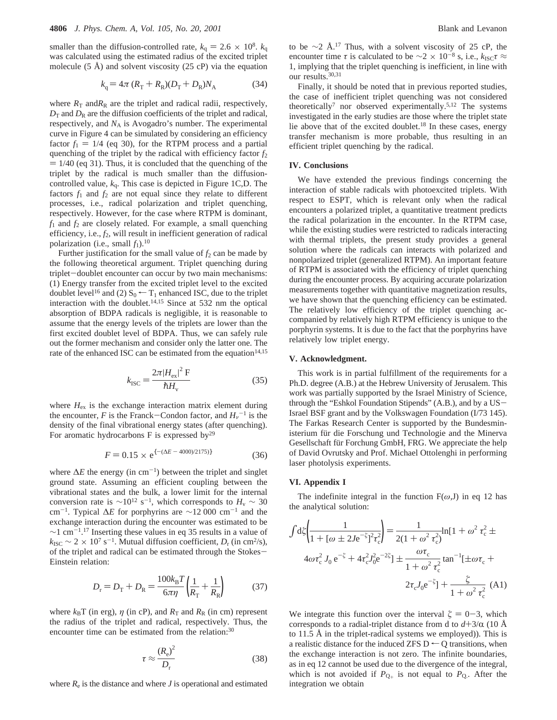smaller than the diffusion-controlled rate,  $k_q = 2.6 \times 10^8$ .  $k_q$ was calculated using the estimated radius of the excited triplet molecule  $(5 \text{ Å})$  and solvent viscosity  $(25 \text{ cP})$  via the equation

$$
k_{\rm q} = 4\pi (R_{\rm T} + R_{\rm R})(D_{\rm T} + D_{\rm R})N_{\rm A} \tag{34}
$$

where  $R_T$  and $R_R$  are the triplet and radical radii, respectively,  $D_T$  and  $D_R$  are the diffusion coefficients of the triplet and radical, respectively, and *N*<sup>A</sup> is Avogadro's number. The experimental curve in Figure 4 can be simulated by considering an efficiency factor  $f_1 = 1/4$  (eq 30), for the RTPM process and a partial quenching of the triplet by the radical with efficiency factor  $f_2$  $= 1/40$  (eq 31). Thus, it is concluded that the quenching of the triplet by the radical is much smaller than the diffusioncontrolled value, *k*q. This case is depicted in Figure 1C,D. The factors  $f_1$  and  $f_2$  are not equal since they relate to different processes, i.e., radical polarization and triplet quenching, respectively. However, for the case where RTPM is dominant,  $f_1$  and  $f_2$  are closely related. For example, a small quenching efficiency, i.e., *f*2, will result in inefficient generation of radical polarization (i.e., small  $f_1$ ).<sup>10</sup>

Further justification for the small value of  $f_2$  can be made by the following theoretical argument. Triplet quenching during triplet-doublet encounter can occur by two main mechanisms: (1) Energy transfer from the excited triplet level to the excited doublet level<sup>16</sup> and (2)  $S_0 \leftarrow T_1$  enhanced ISC, due to the triplet interaction with the doublet.<sup>14,15</sup> Since at 532 nm the optical absorption of BDPA radicals is negligible, it is reasonable to assume that the energy levels of the triplets are lower than the first excited doublet level of BDPA. Thus, we can safely rule out the former mechanism and consider only the latter one. The rate of the enhanced ISC can be estimated from the equation<sup>14,15</sup>

$$
k_{\rm{ISC}} = \frac{2\pi |H_{\rm{ex}}|^2 \, \mathrm{F}}{\hbar H_{\rm{v}}} \tag{35}
$$

where  $H_{\text{ex}}$  is the exchange interaction matrix element during the encounter, *F* is the Franck-Condon factor, and  $H_v^{-1}$  is the density of the final vibrational energy states (after quenching) density of the final vibrational energy states (after quenching). For aromatic hydrocarbons F is expressed by<sup>29</sup>

$$
F = 0.15 \times e^{\{- (\Delta E - 4000)/2175)\}}
$$
 (36)

where  $\Delta E$  the energy (in cm<sup>-1</sup>) between the triplet and singlet ground state. Assuming an efficient coupling between the vibrational states and the bulk, a lower limit for the internal conversion rate is  $\sim 10^{12}$  s<sup>-1</sup>, which corresponds to *H*<sub>v</sub> ~ 30 cm-1. Typical ∆*E* for porphyrins are ∼12 000 cm-<sup>1</sup> and the exchange interaction during the encounter was estimated to be  $\sim$ 1 cm<sup>-1.17</sup> Inserting these values in eq 35 results in a value of  $k_{\rm{ISC}} \sim 2 \times 10^7 \, \text{s}^{-1}$ . Mutual diffusion coefficient,  $D_r$  (in cm<sup>2</sup>/s), of the triplet and radical can be estimated through the Stokes-Einstein relation:

$$
D_{\rm r} = D_{\rm T} + D_{\rm R} = \frac{100k_{\rm B}T}{6\pi\eta} \left(\frac{1}{R_{\rm T}} + \frac{1}{R_{\rm R}}\right) \tag{37}
$$

where  $k_B T$  (in erg),  $\eta$  (in cP), and  $R_T$  and  $R_R$  (in cm) represent the radius of the triplet and radical, respectively. Thus, the encounter time can be estimated from the relation:<sup>30</sup>

$$
\tau \approx \frac{(R_{\rm e})^2}{D_{\rm r}}\tag{38}
$$

where  $R_e$  is the distance and where  $J$  is operational and estimated

to be ∼2 Å.<sup>17</sup> Thus, with a solvent viscosity of 25 cP, the encounter time  $\tau$  is calculated to be  $\sim$ 2 × 10<sup>-8</sup> s, i.e.,  $k_{\text{ISC}}\tau \approx$ 1, implying that the triplet quenching is inefficient, in line with our results.30,31

Finally, it should be noted that in previous reported studies, the case of inefficient triplet quenching was not considered theoretically7 nor observed experimentally.5,12 The systems investigated in the early studies are those where the triplet state lie above that of the excited doublet.18 In these cases, energy transfer mechanism is more probable, thus resulting in an efficient triplet quenching by the radical.

#### **IV. Conclusions**

We have extended the previous findings concerning the interaction of stable radicals with photoexcited triplets. With respect to ESPT, which is relevant only when the radical encounters a polarized triplet, a quantitative treatment predicts the radical polarization in the encounter. In the RTPM case, while the existing studies were restricted to radicals interacting with thermal triplets, the present study provides a general solution where the radicals can interacts with polarized and nonpolarized triplet (generalized RTPM). An important feature of RTPM is associated with the efficiency of triplet quenching during the encounter process. By acquiring accurate polarization measurements together with quantitative magnetization results, we have shown that the quenching efficiency can be estimated. The relatively low efficiency of the triplet quenching accompanied by relatively high RTPM efficiency is unique to the porphyrin systems. It is due to the fact that the porphyrins have relatively low triplet energy.

### **V. Acknowledgment.**

This work is in partial fulfillment of the requirements for a Ph.D. degree (A.B.) at the Hebrew University of Jerusalem. This work was partially supported by the Israel Ministry of Science, through the "Eshkol Foundation Stipends" (A.B.), and by a US-Israel BSF grant and by the Volkswagen Foundation (I/73 145). The Farkas Research Center is supported by the Bundesministerium für die Forschung und Technologie and the Minerva Gesellschaft für Forchung GmbH, FRG. We appreciate the help of David Ovrutsky and Prof. Michael Ottolenghi in performing laser photolysis experiments.

#### **VI. Appendix I**

The indefinite integral in the function  $F(\omega, J)$  in eq 12 has the analytical solution:

$$
\int d\xi \left( \frac{1}{1 + [\omega \pm 2Je^{-\xi}]^2 \tau_c^2} \right) = \frac{1}{2(1 + \omega^2 \tau_c^2)} \ln[1 + \omega^2 \tau_c^2 \pm 4\omega \tau_c^2 J_0 e^{-\xi} + 4\tau_c^2 J_0^2 e^{-2\xi}] \pm \frac{\omega \tau_c}{1 + \omega^2 \tau_c^2} \tan^{-1}[\pm \omega \tau_c + 2\tau_c J_0 e^{-\xi}] + \frac{\xi}{1 + \omega^2 \tau_c^2} (A1)
$$

We integrate this function over the interval  $\zeta = 0-3$ , which corresponds to a radial-triplet distance from d to  $d+3/\alpha$  (10 Å to 11.5 Å in the triplet-radical systems we employed)). This is a realistic distance for the induced ZFS  $D \leftarrow Q$  transitions, when the exchange interaction is not zero. The infinite boundaries, as in eq 12 cannot be used due to the divergence of the integral, which is not avoided if  $P_{Q_+}$  is not equal to  $P_{Q_+}$ . After the integration we obtain